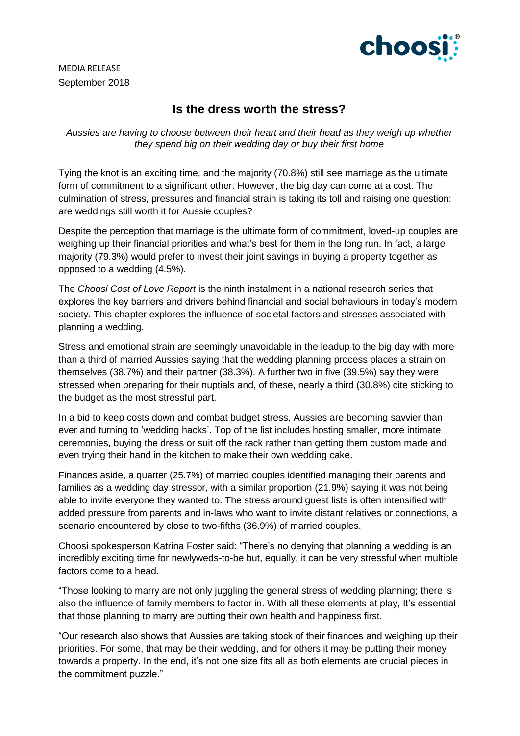

MEDIA RELEASE September 2018

# **Is the dress worth the stress?**

*Aussies are having to choose between their heart and their head as they weigh up whether they spend big on their wedding day or buy their first home*

Tying the knot is an exciting time, and the majority (70.8%) still see marriage as the ultimate form of commitment to a significant other. However, the big day can come at a cost. The culmination of stress, pressures and financial strain is taking its toll and raising one question: are weddings still worth it for Aussie couples?

Despite the perception that marriage is the ultimate form of commitment, loved-up couples are weighing up their financial priorities and what's best for them in the long run. In fact, a large majority (79.3%) would prefer to invest their joint savings in buying a property together as opposed to a wedding (4.5%).

The *Choosi Cost of Love Report* is the ninth instalment in a national research series that explores the key barriers and drivers behind financial and social behaviours in today's modern society. This chapter explores the influence of societal factors and stresses associated with planning a wedding.

Stress and emotional strain are seemingly unavoidable in the leadup to the big day with more than a third of married Aussies saying that the wedding planning process places a strain on themselves (38.7%) and their partner (38.3%). A further two in five (39.5%) say they were stressed when preparing for their nuptials and, of these, nearly a third (30.8%) cite sticking to the budget as the most stressful part.

In a bid to keep costs down and combat budget stress, Aussies are becoming savvier than ever and turning to 'wedding hacks'. Top of the list includes hosting smaller, more intimate ceremonies, buying the dress or suit off the rack rather than getting them custom made and even trying their hand in the kitchen to make their own wedding cake.

Finances aside, a quarter (25.7%) of married couples identified managing their parents and families as a wedding day stressor, with a similar proportion (21.9%) saying it was not being able to invite everyone they wanted to. The stress around guest lists is often intensified with added pressure from parents and in-laws who want to invite distant relatives or connections, a scenario encountered by close to two-fifths (36.9%) of married couples.

Choosi spokesperson Katrina Foster said: "There's no denying that planning a wedding is an incredibly exciting time for newlyweds-to-be but, equally, it can be very stressful when multiple factors come to a head.

"Those looking to marry are not only juggling the general stress of wedding planning; there is also the influence of family members to factor in. With all these elements at play, It's essential that those planning to marry are putting their own health and happiness first.

"Our research also shows that Aussies are taking stock of their finances and weighing up their priorities. For some, that may be their wedding, and for others it may be putting their money towards a property. In the end, it's not one size fits all as both elements are crucial pieces in the commitment puzzle."